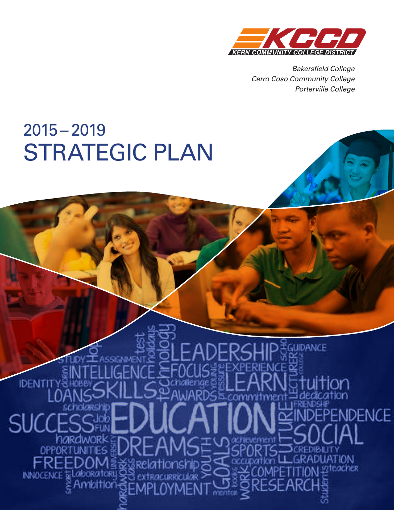

*Cerro Coso Community College Porterville College Bakersfield College Cerro Coso Community College Porterville College*

# 2015–2019 STRATEGIC PLAN

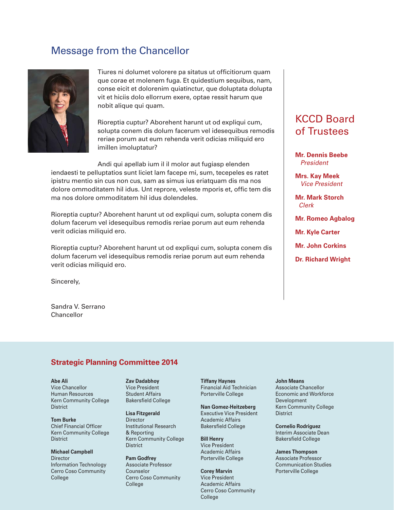# Message from the Chancellor



Tiures ni dolumet volorere pa sitatus ut officitiorum quam que corae et molenem fuga. Et quidestium sequibus, nam, conse eicit et dolorenim quiatinctur, que doluptata dolupta vit et hiciis dolo ellorrum exere, optae ressit harum que nobit alique qui quam.

Rioreptia cuptur? Aborehent harunt ut od expliqui cum, solupta conem dis dolum facerum vel idesequibus remodis reriae porum aut eum rehenda verit odicias miliquid ero imillen imoluptatur?

Andi qui apellab ium il il molor aut fugiasp elenden iendaesti te pelluptatios sunt liciet lam facepe mi, sum, tecepeles es ratet ipistru mentio sin cus non cus, sam as simus ius eriatquam dis ma nos dolore ommoditatem hil idus. Unt reprore, veleste mporis et, offic tem dis ma nos dolore ommoditatem hil idus dolendeles.

Rioreptia cuptur? Aborehent harunt ut od expliqui cum, solupta conem dis dolum facerum vel idesequibus remodis reriae porum aut eum rehenda verit odicias miliquid ero.

Rioreptia cuptur? Aborehent harunt ut od expliqui cum, solupta conem dis dolum facerum vel idesequibus remodis reriae porum aut eum rehenda verit odicias miliquid ero.

Sincerely,

Sandra V. Serrano Chancellor

# KCCD Board of Trustees

**Mr. Dennis Beebe**  *President*

**Mrs. Kay Meek**  *Vice President*

**Mr. Mark Storch**  *Clerk*

**Mr. Romeo Agbalog** 

**Mr. Kyle Carter**

**Mr. John Corkins**

**Dr. Richard Wright**

## **Strategic Planning Committee 2014**

#### **Abe Ali**

Vice Chancellor Human Resources Kern Community College **District** 

**Tom Burke** Chief Financial Officer Kern Community College **District** 

**Michael Campbell Director** Information Technology Cerro Coso Community College

#### **Zav Dadabhoy**

Vice President Student Affairs Bakersfield College

**Lisa Fitzgerald Director** Institutional Research & Reporting Kern Community College **District** 

**Pam Godfrey** Associate Professor Counselor Cerro Coso Community College

**Tiffany Haynes** Financial Aid Technician Porterville College

**Nan Gomez-Heitzeberg** Executive Vice President Academic Affairs Bakersfield College

**Bill Henry** Vice President Academic Affairs Porterville College

**Corey Marvin** Vice President Academic Affairs Cerro Coso Community College

#### **John Means**

Associate Chancellor Economic and Workforce Development Kern Community College **District** 

**Cornelio Rodriguez** Interim Associate Dean Bakersfield College

**James Thompson**

Associate Professor Communication Studies Porterville College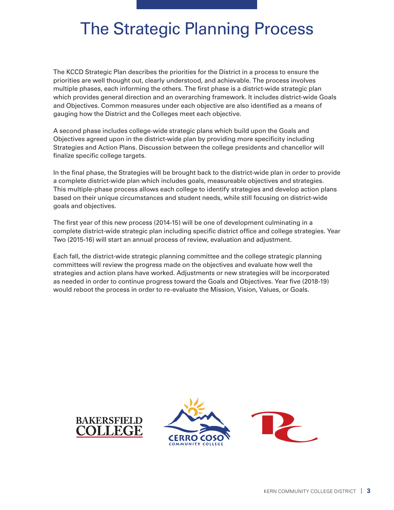# The Strategic Planning Process

The KCCD Strategic Plan describes the priorities for the District in a process to ensure the priorities are well thought out, clearly understood, and achievable. The process involves multiple phases, each informing the others. The first phase is a district-wide strategic plan which provides general direction and an overarching framework. It includes district-wide Goals and Objectives. Common measures under each objective are also identified as a means of gauging how the District and the Colleges meet each objective.

A second phase includes college-wide strategic plans which build upon the Goals and Objectives agreed upon in the district-wide plan by providing more specificity including Strategies and Action Plans. Discussion between the college presidents and chancellor will finalize specific college targets.

In the final phase, the Strategies will be brought back to the district-wide plan in order to provide a complete district-wide plan which includes goals, measureable objectives and strategies. This multiple-phase process allows each college to identify strategies and develop action plans based on their unique circumstances and student needs, while still focusing on district-wide goals and objectives.

The first year of this new process (2014-15) will be one of development culminating in a complete district-wide strategic plan including specific district office and college strategies. Year Two (2015-16) will start an annual process of review, evaluation and adjustment.

Each fall, the district-wide strategic planning committee and the college strategic planning committees will review the progress made on the objectives and evaluate how well the strategies and action plans have worked. Adjustments or new strategies will be incorporated as needed in order to continue progress toward the Goals and Objectives. Year five (2018-19) would reboot the process in order to re-evaluate the Mission, Vision, Values, or Goals.



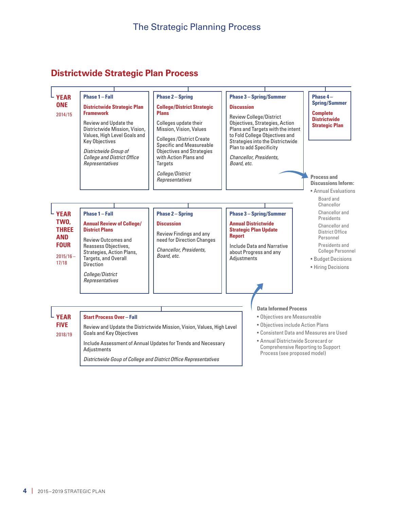# **Districtwide Strategic Plan Process**



*Districtwide Goup of College and District Office Representatives*

**4** | 2015 – 2019 STRATEGIC PLAN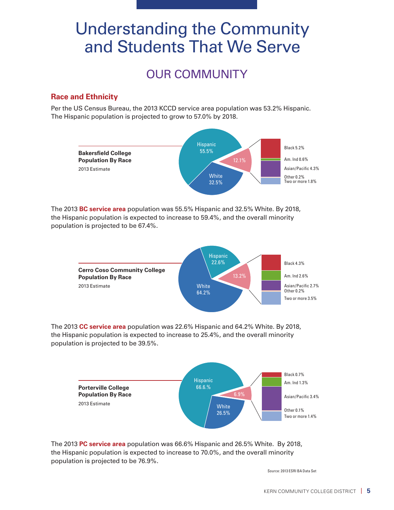# Understanding the Community and Students That We Serve

# OUR COMMUNITY

## **Race and Ethnicity**

Per the US Census Bureau, the 2013 KCCD service area population was 53.2% Hispanic. The Hispanic population is projected to grow to 57.0% by 2018.



The 2013 **BC service area** population was 55.5% Hispanic and 32.5% White. By 2018, the Hispanic population is expected to increase to 59.4%, and the overall minority population is projected to be 67.4%.



The 2013 **CC service area** population was 22.6% Hispanic and 64.2% White. By 2018, the Hispanic population is expected to increase to 25.4%, and the overall minority population is projected to be 39.5%.



The 2013 **PC service area** population was 66.6% Hispanic and 26.5% White. By 2018, the Hispanic population is expected to increase to 70.0%, and the overall minority population is projected to be 76.9%.

Source: 2013 ESRI BA Data Set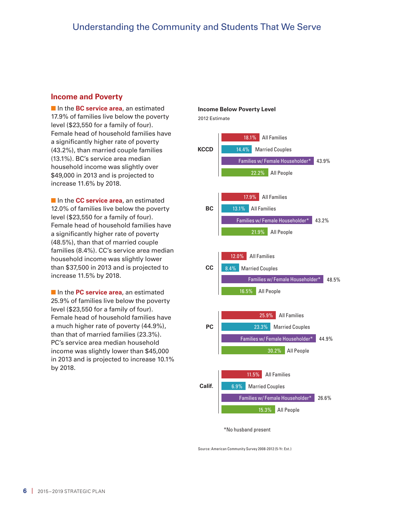#### **Income and Poverty**

**n** In the **BC service area**, an estimated 17.9% of families live below the poverty level (\$23,550 for a family of four). Female head of household families have a significantly higher rate of poverty (43.2%), than married couple families (13.1%). BC's service area median household income was slightly over \$49,000 in 2013 and is projected to increase 11.6% by 2018.

**n** In the **CC service area**, an estimated 12.0% of families live below the poverty level (\$23,550 for a family of four). Female head of household families have a significantly higher rate of poverty (48.5%), than that of married couple families (8.4%). CC's service area median household income was slightly lower than \$37,500 in 2013 and is projected to increase 11.5% by 2018.

**n** In the **PC service area**, an estimated 25.9% of families live below the poverty level (\$23,550 for a family of four). Female head of household families have a much higher rate of poverty (44.9%), than that of married families (23.3%). PC's service area median household income was slightly lower than \$45,000 in 2013 and is projected to increase 10.1% by 2018.



Source: American Community Survey 2008-2012 (5-Yr. Est.)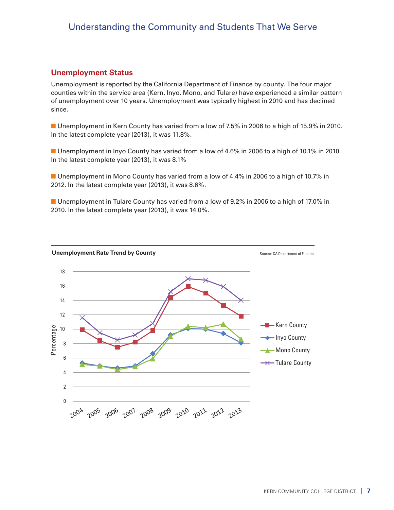## Understanding the Community and Students That We Serve

#### **Unemployment Status**

Unemployment is reported by the California Department of Finance by county. The four major counties within the service area (Kern, Inyo, Mono, and Tulare) have experienced a similar pattern of unemployment over 10 years. Unemployment was typically highest in 2010 and has declined since.

**n** Unemployment in Kern County has varied from a low of 7.5% in 2006 to a high of 15.9% in 2010. In the latest complete year (2013), it was 11.8%.

**n** Unemployment in Inyo County has varied from a low of 4.6% in 2006 to a high of 10.1% in 2010. In the latest complete year (2013), it was 8.1%

**n** Unemployment in Mono County has varied from a low of 4.4% in 2006 to a high of 10.7% in 2012. In the latest complete year (2013), it was 8.6%.

**n** Unemployment in Tulare County has varied from a low of 9.2% in 2006 to a high of 17.0% in 2010. In the latest complete year (2013), it was 14.0%.

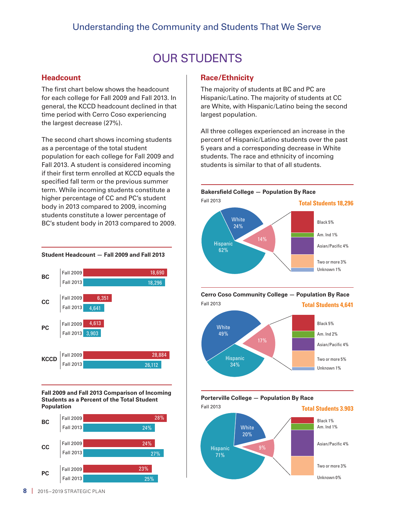# OUR STUDENTS

### **Headcount**

The first chart below shows the headcount for each college for Fall 2009 and Fall 2013. In general, the KCCD headcount declined in that time period with Cerro Coso experiencing the largest decrease (27%).

The second chart shows incoming students as a percentage of the total student population for each college for Fall 2009 and Fall 2013. A student is considered incoming if their first term enrolled at KCCD equals the specified fall term or the previous summer term. While incoming students constitute a higher percentage of CC and PC's student body in 2013 compared to 2009, incoming students constitute a lower percentage of BC's student body in 2013 compared to 2009.

#### **Student Headcount — Fall 2009 and Fall 2013**



**Fall 2009 and Fall 2013 Comparison of Incoming Students as a Percent of the Total Student Population** 



#### **Race/Ethnicity**

The majority of students at BC and PC are Hispanic/Latino. The majority of students at CC are White, with Hispanic/Latino being the second largest population.

All three colleges experienced an increase in the percent of Hispanic/Latino students over the past 5 years and a corresponding decrease in White students. The race and ethnicity of incoming students is similar to that of all students.







**Porterville College — Population By Race**

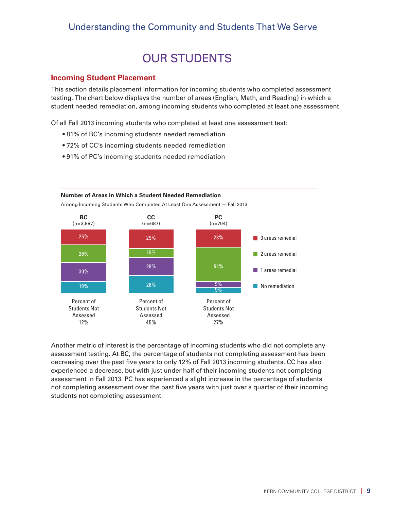# Understanding the Community and Students That We Serve

# OUR STUDENTS

#### **Incoming Student Placement**

This section details placement information for incoming students who completed assessment testing. The chart below displays the number of areas (English, Math, and Reading) in which a student needed remediation, among incoming students who completed at least one assessment.

Of all Fall 2013 incoming students who completed at least one assessment test:

- 81% of BC's incoming students needed remediation
- 72% of CC's incoming students needed remediation
- 91% of PC's incoming students needed remediation



Another metric of interest is the percentage of incoming students who did not complete any assessment testing. At BC, the percentage of students not completing assessment has been decreasing over the past five years to only 12% of Fall 2013 incoming students. CC has also experienced a decrease, but with just under half of their incoming students not completing assessment in Fall 2013. PC has experienced a slight increase in the percentage of students not completing assessment over the past five years with just over a quarter of their incoming students not completing assessment.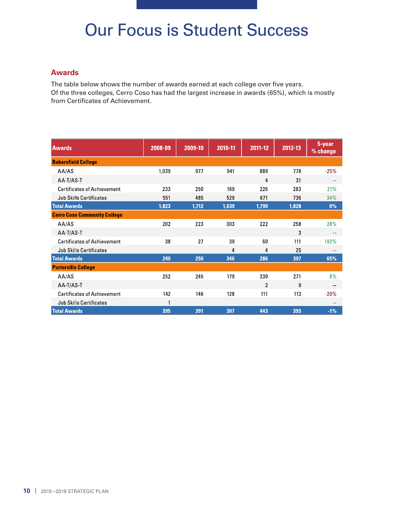# Our Focus is Student Success

### **Awards**

The table below shows the number of awards earned at each college over five years. Of the three colleges, Cerro Coso has had the largest increase in awards (65%), which is mostly from Certificates of Achievement.

| <b>Awards</b>                       | 2008-09 | 2009-10 | 2010-11 | 2011-12        | 2012-13 | 5-year<br>% change |
|-------------------------------------|---------|---------|---------|----------------|---------|--------------------|
| <b>Bakersfield College</b>          |         |         |         |                |         |                    |
| AA/AS                               | 1,039   | 977     | 941     | 889            | 778     | $-25%$             |
| AA-T/AS-T                           |         |         |         | 4              | 31      |                    |
| <b>Certificates of Achievement</b>  | 233     | 250     | 169     | 226            | 283     | 21%                |
| <b>Job Skills Certificates</b>      | 551     | 485     | 529     | 671            | 736     | 34%                |
| <b>Total Awards</b>                 | 1,823   | 1,712   | 1,639   | 1,790          | 1,828   | 0%                 |
| <b>Cerro Coso Community College</b> |         |         |         |                |         |                    |
| AA/AS                               | 202     | 223     | 303     | 222            | 258     | 28%                |
| AA-T/AS-T                           |         |         |         |                | 3       | --                 |
| <b>Certificates of Achievement</b>  | 38      | 27      | 39      | 60             | 111     | 192%               |
| <b>Job Skills Certificates</b>      |         |         | 4       | 4              | 25      |                    |
| <b>Total Awards</b>                 | 240     | 250     | 346     | 286            | 397     | 65%                |
| <b>Porterville College</b>          |         |         |         |                |         |                    |
| AA/AS                               | 252     | 245     | 179     | 330            | 271     | 8%                 |
| AA-T/AS-T                           |         |         |         | $\overline{2}$ | 9       | $-$                |
| <b>Certificates of Achievement</b>  | 142     | 146     | 128     | 111            | 113     | $-20%$             |
| <b>Job Skills Certificates</b>      | 1       |         |         |                |         |                    |
| <b>Total Awards</b>                 | 395     | 391     | 307     | 443            | 393     | $-1%$              |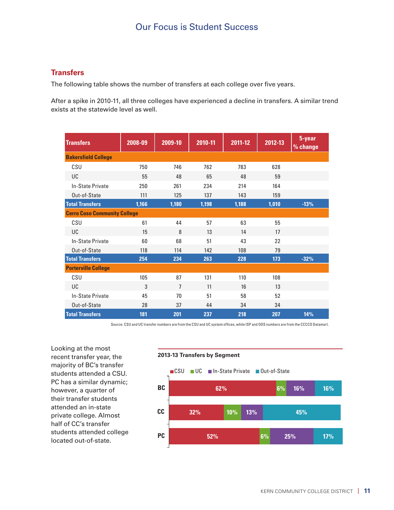# Our Focus is Student Success

## **Transfers**

The following table shows the number of transfers at each college over five years.

After a spike in 2010-11, all three colleges have experienced a decline in transfers. A similar trend exists at the statewide level as well.

| <b>Transfers</b>                    | 2008-09 | 2009-10        | 2010-11 | 2011-12 | 2012-13 | 5-year<br>% change |
|-------------------------------------|---------|----------------|---------|---------|---------|--------------------|
| <b>Bakersfield College</b>          |         |                |         |         |         |                    |
| CSU                                 | 750     | 746            | 762     | 783     | 628     |                    |
| UC                                  | 55      | 48             | 65      | 48      | 59      |                    |
| In-State Private                    | 250     | 261            | 234     | 214     | 164     |                    |
| Out-of-State                        | 111     | 125            | 137     | 143     | 159     |                    |
| <b>Total Transfers</b>              | 1,166   | 1,180          | 1,198   | 1,188   | 1,010   | $-13%$             |
| <b>Cerro Coso Community College</b> |         |                |         |         |         |                    |
| CSU                                 | 61      | 44             | 57      | 63      | 55      |                    |
| UC                                  | 15      | 8              | 13      | 14      | 17      |                    |
| In-State Private                    | 60      | 68             | 51      | 43      | 22      |                    |
| Out-of-State                        | 118     | 114            | 142     | 108     | 79      |                    |
| <b>Total Transfers</b>              | 254     | 234            | 263     | 228     | 173     | $-32%$             |
| <b>Porterville College</b>          |         |                |         |         |         |                    |
| CSU                                 | 105     | 87             | 131     | 110     | 108     |                    |
| UC                                  | 3       | $\overline{7}$ | 11      | 16      | 13      |                    |
| In-State Private                    | 45      | 70             | 51      | 58      | 52      |                    |
| Out-of-State                        | 28      | 37             | 44      | 34      | 34      |                    |
| <b>Total Transfers</b>              | 181     | 201            | 237     | 218     | 207     | 14%                |

Source: CSU and UC transfer numbers are from the CSU and UC system offices, while ISP and OOS numbers are from the CCCCO Datamart.

Looking at the most recent transfer year, the majority of BC's transfer students attended a CSU. PC has a similar dynamic; however, a quarter of their transfer students attended an in-state private college. Almost half of CC's transfer students attended college located out-of-state.

#### **2013-13 Transfers by Segment**

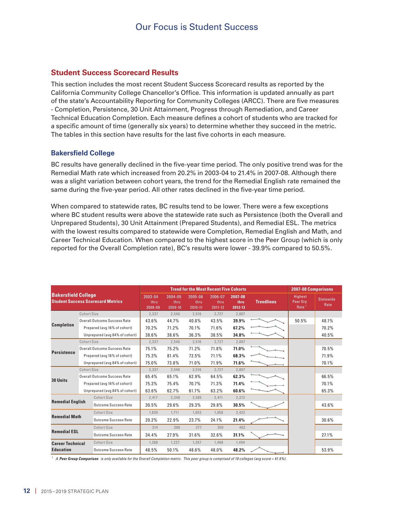### **Student Success Scorecard Results**

This section includes the most recent Student Success Scorecard results as reported by the California Community College Chancellor's Office. This information is updated annually as part of the state's Accountability Reporting for Community Colleges (ARCC). There are five measures - Completion, Persistence, 30 Unit Attainment, Progress through Remediation, and Career Technical Education Completion. Each measure defines a cohort of students who are tracked for a specific amount of time (generally six years) to determine whether they succeed in the metric. The tables in this section have results for the last five cohorts in each measure.

#### **Bakersfield College**

BC results have generally declined in the five-year time period. The only positive trend was for the Remedial Math rate which increased from 20.2% in 2003-04 to 21.4% in 2007-08. Although there was a slight variation between cohort years, the trend for the Remedial English rate remained the same during the five-year period. All other rates declined in the five-year time period.

When compared to statewide rates, BC results tend to be lower. There were a few exceptions where BC student results were above the statewide rate such as Persistence (both the Overall and Unprepared Students), 30 Unit Attainment (Prepared Students), and Remedial ESL. The metrics with the lowest results compared to statewide were Completion, Remedial English and Math, and Career Technical Education. When compared to the highest score in the Peer Group (which is only reported for the Overall Completion rate), BC's results were lower - 39.9% compared to 50.5%.

| <b>Bakersfield College</b><br><b>Student Success Scorecard Metrics</b>   |                              |                                     | <b>Trend for the Most Recent Five Cohorts</b> | <b>2007-08 Comparisons</b> |                            |                            |                   |                                          |                          |       |
|--------------------------------------------------------------------------|------------------------------|-------------------------------------|-----------------------------------------------|----------------------------|----------------------------|----------------------------|-------------------|------------------------------------------|--------------------------|-------|
|                                                                          |                              | 2003-04<br>thru<br>2008-09          | 2004-05<br>thru<br>2009-10                    | 2005-06<br>thru<br>2010-11 | 2006-07<br>thru<br>2011-12 | 2007-08<br>thru<br>2012-13 | <b>Trendlines</b> | Highest<br>Peer Grp<br>Rate <sup>1</sup> | <b>Statewide</b><br>Rate |       |
|                                                                          | Cohort Size                  |                                     | 2,337                                         | 2,540                      | 2,516                      | 2,727                      | 2,807             |                                          |                          |       |
|                                                                          |                              | <b>Overall Outcome Success Rate</b> | 43.6%                                         | 44.7%                      | 40.8%                      | 43.5%                      | 39.9%             |                                          | 50.5%                    | 48.1% |
| <b>Completion</b>                                                        |                              | Prepared (avg 16% of cohort)        | 70.2%                                         | 71.2%                      | 70.1%                      | 71.6%                      | 67.2%             |                                          |                          | 70.2% |
|                                                                          |                              | Unprepared (avg 84% of cohort)      | 38.6%                                         | 38.6%                      | 36.3%                      | 38.5%                      | 34.8%             |                                          |                          | 40.5% |
|                                                                          | Cohort Size                  |                                     | 2,337                                         | 2,540                      | 2,516                      | 2,727                      | 2,807             |                                          |                          |       |
| <b>Persistence</b>                                                       |                              | Overall Outcome Success Rate        | 75.1%                                         | 75.2%                      | 71.2%                      | 71.8%                      | 71.0%             |                                          |                          | 70.5% |
|                                                                          |                              | Prepared (avg 16% of cohort)        | 75.3%                                         | 81.4%                      | 72.5%                      | 71.1%                      | 68.3%             |                                          |                          | 71.9% |
|                                                                          |                              | Unprepared (avg 84% of cohort)      | 75.0%                                         | 73.8%                      | 71.0%                      | 71.9%                      | 71.6%             |                                          |                          | 70.1% |
| <b>Cohort Size</b>                                                       |                              |                                     | 2,337                                         | 2,540                      | 2,516                      | 2,727                      | 2,807             |                                          |                          |       |
|                                                                          |                              | Overall Outcome Success Rate        |                                               | 65.1%                      | 62.9%                      | 64.5%                      | 62.3%             |                                          |                          | 66.5% |
| 30 Units                                                                 | Prepared (avg 16% of cohort) |                                     | 75.3%                                         | 75.4%                      | 70.7%                      | 71.3%                      | 71.4%             |                                          |                          | 70.1% |
|                                                                          |                              | Unprepared (avg 84% of cohort)      | 63.6%                                         | 62.7%                      | 61.7%                      | 63.2%                      | 60.6%             |                                          |                          | 65.3% |
| <b>Cohort Size</b>                                                       |                              | 2,417                               | 2,348                                         | 2,585                      | 2,411                      | 2,313                      |                   |                                          |                          |       |
| <b>Remedial English</b>                                                  |                              | <b>Outcome Success Rate</b>         | 30.5%                                         | 29.6%                      | 29.3%                      | 29.8%                      | 30.5%             |                                          |                          | 43.6% |
| Cohort Size<br><b>Remedial Math</b><br><b>Outcome Success Rate</b>       |                              |                                     | 1.830                                         | 1.711                      | 1.653                      | 1,958                      | 2,422             |                                          |                          |       |
|                                                                          |                              | 20.2%                               | 22.9%                                         | 23.7%                      | 24.1%                      | 21.4%                      |                   |                                          | 30.6%                    |       |
| <b>Cohort Size</b><br><b>Remedial ESL</b><br><b>Outcome Success Rate</b> |                              |                                     | 314                                           | 398                        | 377                        | 350                        | 402               |                                          |                          |       |
|                                                                          |                              | 34.4%                               | 27.9%                                         | 31.6%                      | 32.6%                      | 31.1%                      |                   |                                          | 27.1%                    |       |
| <b>Career Technical</b>                                                  |                              | <b>Cohort Size</b>                  | 1,268                                         | 1,227                      | 1,297                      | 1,468                      | 1,494             |                                          |                          |       |
| <b>Education</b>                                                         |                              | Outcome Success Rate                | 48.5%                                         | 50.1%                      | 48.6%                      | 48.0%                      | 48.2%             |                                          |                          | 53.9% |

*<sup>1</sup> A Peer Group Comparison is only available for the Overall Completion metric. This peer group is comprised of 19 colleges (avg score = 41.9%).*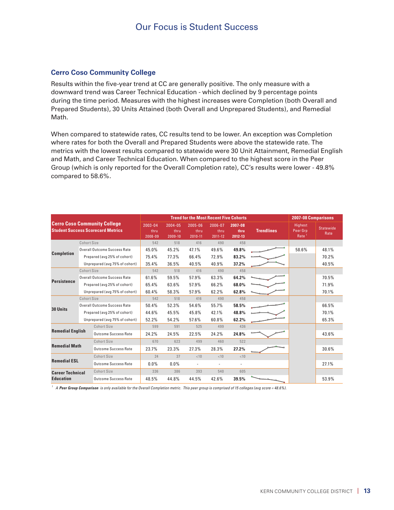#### **Cerro Coso Community College**

Results within the five-year trend at CC are generally positive. The only measure with a downward trend was Career Technical Education - which declined by 9 percentage points during the time period. Measures with the highest increases were Completion (both Overall and Prepared Students), 30 Units Attained (both Overall and Unprepared Students), and Remedial Math.

When compared to statewide rates, CC results tend to be lower. An exception was Completion where rates for both the Overall and Prepared Students were above the statewide rate. The metrics with the lowest results compared to statewide were 30 Unit Attainment, Remedial English and Math, and Career Technical Education. When compared to the highest score in the Peer Group (which is only reported for the Overall Completion rate), CC's results were lower - 49.8% compared to 58.6%.

| <b>Cerro Coso Community College</b><br><b>Student Success Scorecard Metrics</b> |                              |                                | <b>Trend for the Most Recent Five Cohorts</b> | <b>2007-08 Comparisons</b> |                            |                            |                   |                                          |                          |       |
|---------------------------------------------------------------------------------|------------------------------|--------------------------------|-----------------------------------------------|----------------------------|----------------------------|----------------------------|-------------------|------------------------------------------|--------------------------|-------|
|                                                                                 |                              | 2003-04<br>thru<br>2008-09     | 2004-05<br>thru<br>2009-10                    | 2005-06<br>thru<br>2010-11 | 2006-07<br>thru<br>2011-12 | 2007-08<br>thru<br>2012-13 | <b>Trendlines</b> | Highest<br>Peer Grp<br>Rate <sup>1</sup> | <b>Statewide</b><br>Rate |       |
|                                                                                 | Cohort Size                  |                                | 542                                           | 518                        | 416                        | 490                        | 458               |                                          |                          |       |
|                                                                                 |                              | Overall Outcome Success Rate   | 45.0%                                         | 45.2%                      | 47.1%                      | 49.6%                      | 49.8%             |                                          | 58.6%                    | 48.1% |
| <b>Completion</b>                                                               |                              | Prepared (avg 25% of cohort)   | 75.4%                                         | 77.3%                      | 66.4%                      | 72.9%                      | 83.2%             |                                          |                          | 70.2% |
|                                                                                 |                              | Unprepared (avg 75% of cohort) | 35.4%                                         | 36.5%                      | 40.5%                      | 40.9%                      | 37.2%             |                                          |                          | 40.5% |
|                                                                                 | Cohort Size                  |                                | 542                                           | 518                        | 416                        | 490                        | 458               |                                          |                          |       |
| <b>Persistence</b>                                                              |                              | Overall Outcome Success Rate   | 61.6%                                         | 59.5%                      | 57.9%                      | 63.3%                      | 64.2%             |                                          |                          | 70.5% |
|                                                                                 |                              | Prepared (avg 25% of cohort)   | 65.4%                                         | 63.6%                      | 57.9%                      | 66.2%                      | 68.0%             |                                          |                          | 71.9% |
|                                                                                 |                              | Unprepared (avg 75% of cohort) | 60.4%                                         | 58.3%                      | 57.9%                      | 62.2%                      | 62.8%             |                                          |                          | 70.1% |
| Cohort Size                                                                     |                              |                                | 542                                           | 518                        | 416                        | 490                        | 458               |                                          |                          |       |
| 30 Units                                                                        |                              | Overall Outcome Success Rate   |                                               | 52.3%                      | 54.6%                      | 55.7%                      | 58.5%             |                                          |                          | 66.5% |
|                                                                                 | Prepared (avg 25% of cohort) |                                | 44.6%                                         | 45.5%                      | 45.8%                      | 42.1%                      | 48.8%             |                                          |                          | 70.1% |
|                                                                                 |                              | Unprepared (avg 75% of cohort) | 52.2%                                         | 54.2%                      | 57.6%                      | 60.8%                      | 62.2%             |                                          |                          | 65.3% |
| <b>Cohort Size</b>                                                              |                              |                                | 599                                           | 591                        | 525                        | 499                        | 436               |                                          |                          |       |
| <b>Remedial English</b>                                                         |                              | <b>Outcome Success Rate</b>    | 24.2%                                         | 24.5%                      | 22.5%                      | 24.2%                      | 24.8%             |                                          |                          | 43.6% |
| <b>Remedial Math</b>                                                            |                              | <b>Cohort Size</b>             | 670                                           | 623                        | 499                        | 460                        | 522               |                                          |                          |       |
|                                                                                 |                              | Outcome Success Rate           | 23.7%                                         | 23.3%                      | 27.3%                      | 28.3%                      | 27.2%             |                                          |                          | 30.6% |
| <b>Remedial ESL</b>                                                             |                              | Cohort Size                    | 24                                            | 37                         | < 10                       | < 10                       | <10               |                                          |                          |       |
|                                                                                 |                              | Outcome Success Rate           | $0.0\%$                                       | $0.0\%$                    | $\sim$                     | $\overline{\phantom{a}}$   |                   |                                          |                          | 27.1% |
| <b>Career Technical</b>                                                         |                              | <b>Cohort Size</b>             | 336                                           | 386                        | 393                        | 540                        | 605               |                                          |                          |       |
| <b>Education</b>                                                                |                              | Outcome Success Rate           | 48.5%                                         | 44.8%                      | 44.5%                      | 42.6%                      | 39.5%             |                                          |                          | 53.9% |

*<sup>1</sup> A Peer Group Comparison is only available for the Overall Completion metric. This peer group is comprised of 15 colleges (avg score = 48.6%).*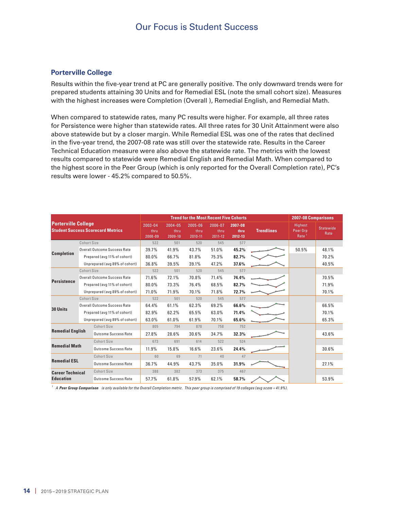# Our Focus is Student Success

#### **Porterville College**

Results within the five-year trend at PC are generally positive. The only downward trends were for prepared students attaining 30 Units and for Remedial ESL (note the small cohort size). Measures with the highest increases were Completion (Overall ), Remedial English, and Remedial Math.

When compared to statewide rates, many PC results were higher. For example, all three rates for Persistence were higher than statewide rates. All three rates for 30 Unit Attainment were also above statewide but by a closer margin. While Remedial ESL was one of the rates that declined in the five-year trend, the 2007-08 rate was still over the statewide rate. Results in the Career Technical Education measure were also above the statewide rate. The metrics with the lowest results compared to statewide were Remedial English and Remedial Math. When compared to the highest score in the Peer Group (which is only reported for the Overall Completion rate), PC's results were lower - 45.2% compared to 50.5%.

| <b>Porterville College</b><br><b>Student Success Scorecard Metrics</b> |                                                        |                                | <b>Trend for the Most Recent Five Cohorts</b> | 2007-08 Comparisons        |                                |                            |                   |                                                 |                          |       |
|------------------------------------------------------------------------|--------------------------------------------------------|--------------------------------|-----------------------------------------------|----------------------------|--------------------------------|----------------------------|-------------------|-------------------------------------------------|--------------------------|-------|
|                                                                        |                                                        | 2003-04<br>thru<br>2008-09     | 2004-05<br>thru<br>2009-10                    | 2005-06<br>thru<br>2010-11 | 2006-07<br>thru<br>$2011 - 12$ | 2007-08<br>thru<br>2012-13 | <b>Trendlines</b> | <b>Highest</b><br>Peer Grp<br>Rate <sup>1</sup> | <b>Statewide</b><br>Rate |       |
|                                                                        | Cohort Size                                            |                                | 522                                           | 501                        | 520                            | 545                        | 577               |                                                 |                          |       |
|                                                                        |                                                        | Overall Outcome Success Rate   | 39.7%                                         | 41.9%                      | 43.7%                          | 51.0%                      | 45.2%             |                                                 | 50.5%                    | 48.1% |
| <b>Completion</b>                                                      |                                                        | Prepared (avg 11% of cohort)   | 80.0%                                         | 66.7%                      | 81.8%                          | 75.3%                      | 82.7%             |                                                 |                          | 70.2% |
|                                                                        |                                                        | Unprepared (avg 89% of cohort) | 36.8%                                         | 39.5%                      | 39.1%                          | 47.2%                      | 37.6%             |                                                 |                          | 40.5% |
|                                                                        | <b>Cohort Size</b>                                     |                                | 522                                           | 501                        | 520                            | 545                        | 577               |                                                 |                          |       |
|                                                                        |                                                        | Overall Outcome Success Rate   | 71.6%                                         | 72.1%                      | 70.8%                          | 71.4%                      | 74.4%             |                                                 |                          | 70.5% |
| <b>Persistence</b>                                                     |                                                        | Prepared (avg 11% of cohort)   | 80.0%                                         | 73.3%                      | 76.4%                          | 68.5%                      | 82.7%             |                                                 |                          | 71.9% |
|                                                                        |                                                        | Unprepared (avg 89% of cohort) | 71.0%                                         | 71.9%                      | 70.1%                          | 71.8%                      | 72.7%             |                                                 |                          | 70.1% |
| <b>Cohort Size</b>                                                     |                                                        |                                | 522                                           | 501                        | 520                            | 545                        | 577               |                                                 |                          |       |
| 30 Units                                                               |                                                        | Overall Outcome Success Rate   |                                               | 61.1%                      | 62.3%                          | 69.2%                      | 66.6%             |                                                 |                          | 66.5% |
|                                                                        |                                                        | Prepared (avg 11% of cohort)   |                                               | 62.2%                      | 65.5%                          | 63.0%                      | 71.4%             |                                                 |                          | 70.1% |
|                                                                        |                                                        | Unprepared (avg 89% of cohort) | 63.0%                                         | 61.0%                      | 61.9%                          | 70.1%                      | 65.6%             |                                                 |                          | 65.3% |
| Cohort Size                                                            |                                                        | 805                            | 794                                           | 878                        | 758                            | 752                        |                   |                                                 |                          |       |
|                                                                        | <b>Remedial English</b><br><b>Outcome Success Rate</b> |                                | 27.8%                                         | 28.6%                      | 30.6%                          | 34.7%                      | 32.3%             |                                                 |                          | 43.6% |
|                                                                        | Cohort Size                                            |                                | 673                                           | 691                        | 614                            | 522                        | 524               |                                                 |                          |       |
| <b>Remedial Math</b><br><b>Outcome Success Rate</b>                    |                                                        | 11.9%                          | 15.8%                                         | 16.6%                      | 23.6%                          | 24.4%                      |                   |                                                 | 30.6%                    |       |
| <b>Cohort Size</b><br><b>Remedial ESL</b><br>Outcome Success Rate      |                                                        |                                | 60                                            | 69                         | 71                             | 40                         | 47                |                                                 |                          |       |
|                                                                        |                                                        |                                | 36.7%                                         | 44.9%                      | 43.7%                          | 35.0%                      | 31.9%             |                                                 |                          | 27.1% |
| <b>Career Technical</b>                                                |                                                        | Cohort Size                    | 388                                           | 382                        | 373                            | 375                        | 467               |                                                 |                          |       |
| <b>Education</b>                                                       |                                                        | Outcome Success Rate           | 57.7%                                         | 61.8%                      | 57.9%                          | 62.1%                      | 58.7%             |                                                 |                          | 53.9% |

<sup>1</sup> A **Peer Group Comparison** is only available for the Overall Completion metric. This peer group is comprised of 19 colleges (avg score = 41.9%).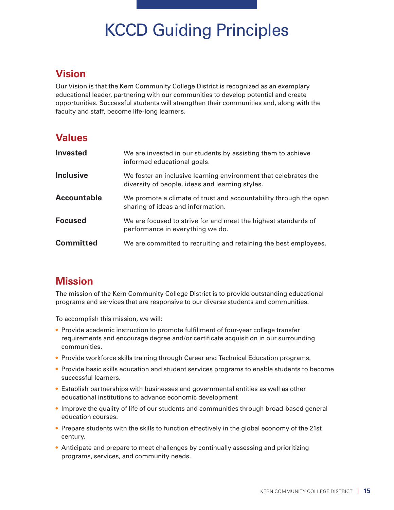# KCCD Guiding Principles

# **Vision**

Our Vision is that the Kern Community College District is recognized as an exemplary educational leader, partnering with our communities to develop potential and create opportunities. Successful students will strengthen their communities and, along with the faculty and staff, become life-long learners.

# **Values**

| <b>Invested</b>    | We are invested in our students by assisting them to achieve<br>informed educational goals.                        |
|--------------------|--------------------------------------------------------------------------------------------------------------------|
| <b>Inclusive</b>   | We foster an inclusive learning environment that celebrates the<br>diversity of people, ideas and learning styles. |
| <b>Accountable</b> | We promote a climate of trust and accountability through the open<br>sharing of ideas and information.             |
| <b>Focused</b>     | We are focused to strive for and meet the highest standards of<br>performance in everything we do.                 |
| <b>Committed</b>   | We are committed to recruiting and retaining the best employees.                                                   |

# **Mission**

The mission of the Kern Community College District is to provide outstanding educational programs and services that are responsive to our diverse students and communities.

To accomplish this mission, we will:

- Provide academic instruction to promote fulfillment of four-year college transfer requirements and encourage degree and/or certificate acquisition in our surrounding communities.
- Provide workforce skills training through Career and Technical Education programs.
- Provide basic skills education and student services programs to enable students to become successful learners.
- Establish partnerships with businesses and governmental entities as well as other educational institutions to advance economic development
- Improve the quality of life of our students and communities through broad-based general education courses.
- Prepare students with the skills to function effectively in the global economy of the 21st century.
- Anticipate and prepare to meet challenges by continually assessing and prioritizing programs, services, and community needs.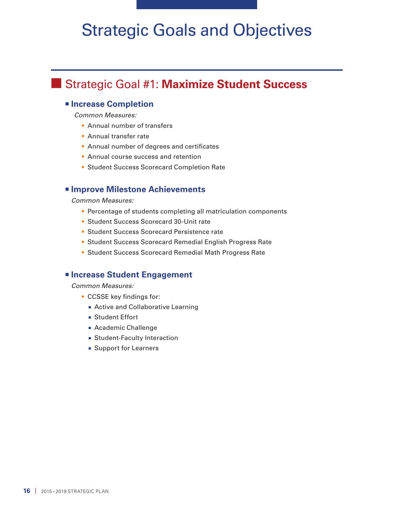# Strategic Goals and Objectives

# **n** Strategic Goal #1: Maximize Student Success

## <sup>n</sup> **Increase Completion**

 *Common Measures:* 

- Annual number of transfers
- Annual transfer rate
- Annual number of degrees and certificates
- Annual course success and retention
- Student Success Scorecard Completion Rate

## $\blacksquare$  **Improve Milestone Achievements**

*Common Measures:* 

- Percentage of students completing all matriculation components
- Student Success Scorecard 30-Unit rate
- Student Success Scorecard Persistence rate
- Student Success Scorecard Remedial English Progress Rate
- Student Success Scorecard Remedial Math Progress Rate

## <sup>n</sup> **Increase Student Engagement**

- CCSSE key findings for:
	- **Active and Collaborative Learning**
	- Student Effort
	- **Academic Challenge**
	- **Example 1** Student-Faculty Interaction
	- **Example 1** Support for Learners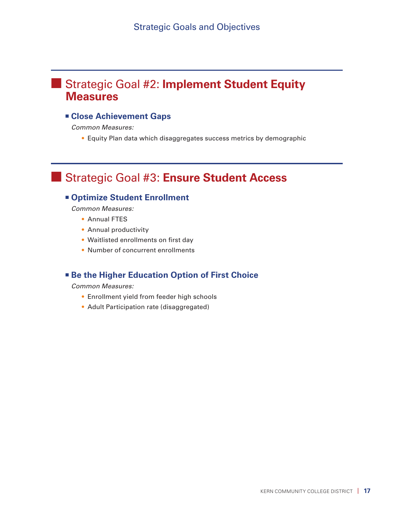# **n Strategic Goal #2: Implement Student Equity Measures**

## **¤ Close Achievement Gaps**

*Common Measures:* 

• Equity Plan data which disaggregates success metrics by demographic

# **n Strategic Goal #3: Ensure Student Access**

## <sup>n</sup> **Optimize Student Enrollment**

*Common Measures:* 

- Annual FTES
- Annual productivity
- Waitlisted enrollments on first day
- Number of concurrent enrollments

## **Example 1 Be the Higher Education Option of First Choice**

- Enrollment yield from feeder high schools
- Adult Participation rate (disaggregated)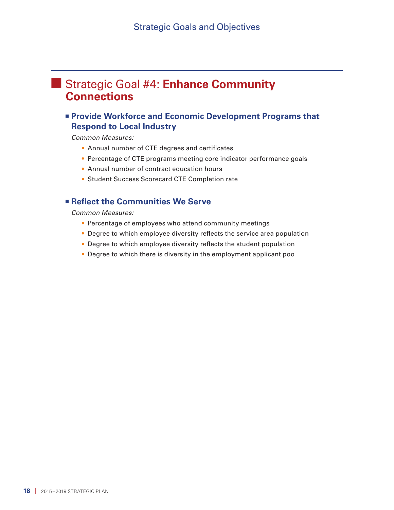# **n Strategic Goal #4: Enhance Community Connections**

## <sup>n</sup> **Provide Workforce and Economic Development Programs that Respond to Local Industry**

*Common Measures:* 

- Annual number of CTE degrees and certificates
- Percentage of CTE programs meeting core indicator performance goals
- Annual number of contract education hours
- Student Success Scorecard CTE Completion rate

## <sup>n</sup> **Reflect the Communities We Serve**

- Percentage of employees who attend community meetings
- Degree to which employee diversity reflects the service area population
- Degree to which employee diversity reflects the student population
- Degree to which there is diversity in the employment applicant poo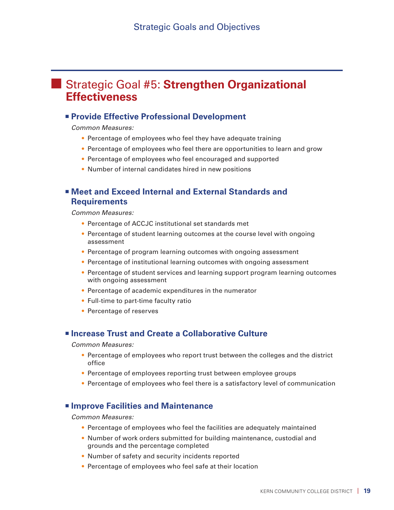# **n Strategic Goal #5: Strengthen Organizational Effectiveness**

## <sup>n</sup> **Provide Effective Professional Development**

*Common Measures:* 

- Percentage of employees who feel they have adequate training
- Percentage of employees who feel there are opportunities to learn and grow
- Percentage of employees who feel encouraged and supported
- Number of internal candidates hired in new positions

## <sup>n</sup> **Meet and Exceed Internal and External Standards and Requirements**

*Common Measures:* 

- Percentage of ACCJC institutional set standards met
- Percentage of student learning outcomes at the course level with ongoing assessment
- Percentage of program learning outcomes with ongoing assessment
- Percentage of institutional learning outcomes with ongoing assessment
- Percentage of student services and learning support program learning outcomes with ongoing assessment
- Percentage of academic expenditures in the numerator
- Full-time to part-time faculty ratio
- Percentage of reserves

### <sup>n</sup> **Increase Trust and Create a Collaborative Culture**

*Common Measures:* 

- Percentage of employees who report trust between the colleges and the district office
- Percentage of employees reporting trust between employee groups
- Percentage of employees who feel there is a satisfactory level of communication

#### **<u>** $\blacksquare$  **Improve Facilities and Maintenance</u>**

- Percentage of employees who feel the facilities are adequately maintained
- Number of work orders submitted for building maintenance, custodial and grounds and the percentage completed
- Number of safety and security incidents reported
- Percentage of employees who feel safe at their location